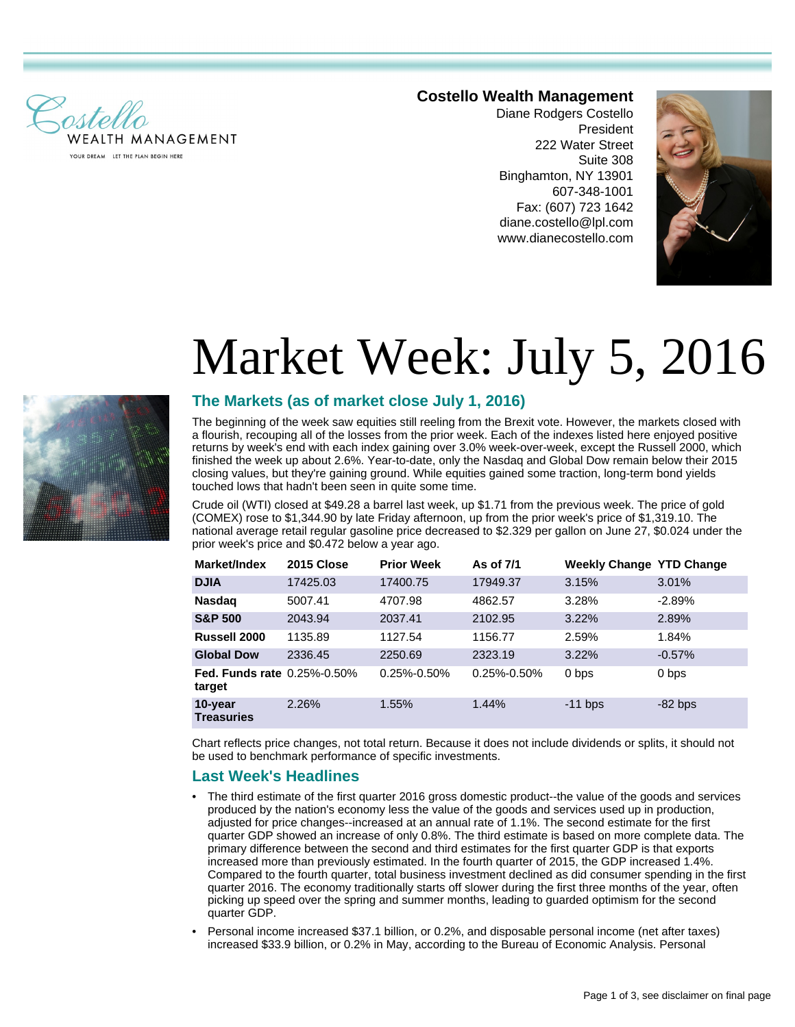

#### **Costello Wealth Management**

Diane Rodgers Costello President 222 Water Street Suite 308 Binghamton, NY 13901 607-348-1001 Fax: (607) 723 1642 diane.costello@lpl.com www.dianecostello.com



# Market Week: July 5, 2016



### **The Markets (as of market close July 1, 2016)**

The beginning of the week saw equities still reeling from the Brexit vote. However, the markets closed with a flourish, recouping all of the losses from the prior week. Each of the indexes listed here enjoyed positive returns by week's end with each index gaining over 3.0% week-over-week, except the Russell 2000, which finished the week up about 2.6%. Year-to-date, only the Nasdaq and Global Dow remain below their 2015 closing values, but they're gaining ground. While equities gained some traction, long-term bond yields touched lows that hadn't been seen in quite some time.

Crude oil (WTI) closed at \$49.28 a barrel last week, up \$1.71 from the previous week. The price of gold (COMEX) rose to \$1,344.90 by late Friday afternoon, up from the prior week's price of \$1,319.10. The national average retail regular gasoline price decreased to \$2.329 per gallon on June 27, \$0.024 under the prior week's price and \$0.472 below a year ago.

| Market/Index                                 | 2015 Close | <b>Prior Week</b> | As of 7/1   | <b>Weekly Change YTD Change</b> |           |
|----------------------------------------------|------------|-------------------|-------------|---------------------------------|-----------|
| <b>DJIA</b>                                  | 17425.03   | 17400.75          | 17949.37    | 3.15%                           | 3.01%     |
| <b>Nasdag</b>                                | 5007.41    | 4707.98           | 4862.57     | 3.28%                           | $-2.89%$  |
| <b>S&amp;P 500</b>                           | 2043.94    | 2037.41           | 2102.95     | 3.22%                           | 2.89%     |
| Russell 2000                                 | 1135.89    | 1127.54           | 1156.77     | 2.59%                           | 1.84%     |
| <b>Global Dow</b>                            | 2336.45    | 2250.69           | 2323.19     | 3.22%                           | $-0.57%$  |
| <b>Fed. Funds rate 0.25%-0.50%</b><br>target |            | $0.25\% - 0.50\%$ | 0.25%-0.50% | 0 bps                           | 0 bps     |
| 10-year<br><b>Treasuries</b>                 | 2.26%      | 1.55%             | 1.44%       | $-11$ bps                       | $-82$ bps |

Chart reflects price changes, not total return. Because it does not include dividends or splits, it should not be used to benchmark performance of specific investments.

#### **Last Week's Headlines**

- The third estimate of the first quarter 2016 gross domestic product--the value of the goods and services produced by the nation's economy less the value of the goods and services used up in production, adjusted for price changes--increased at an annual rate of 1.1%. The second estimate for the first quarter GDP showed an increase of only 0.8%. The third estimate is based on more complete data. The primary difference between the second and third estimates for the first quarter GDP is that exports increased more than previously estimated. In the fourth quarter of 2015, the GDP increased 1.4%. Compared to the fourth quarter, total business investment declined as did consumer spending in the first quarter 2016. The economy traditionally starts off slower during the first three months of the year, often picking up speed over the spring and summer months, leading to guarded optimism for the second quarter GDP.
- Personal income increased \$37.1 billion, or 0.2%, and disposable personal income (net after taxes) increased \$33.9 billion, or 0.2% in May, according to the Bureau of Economic Analysis. Personal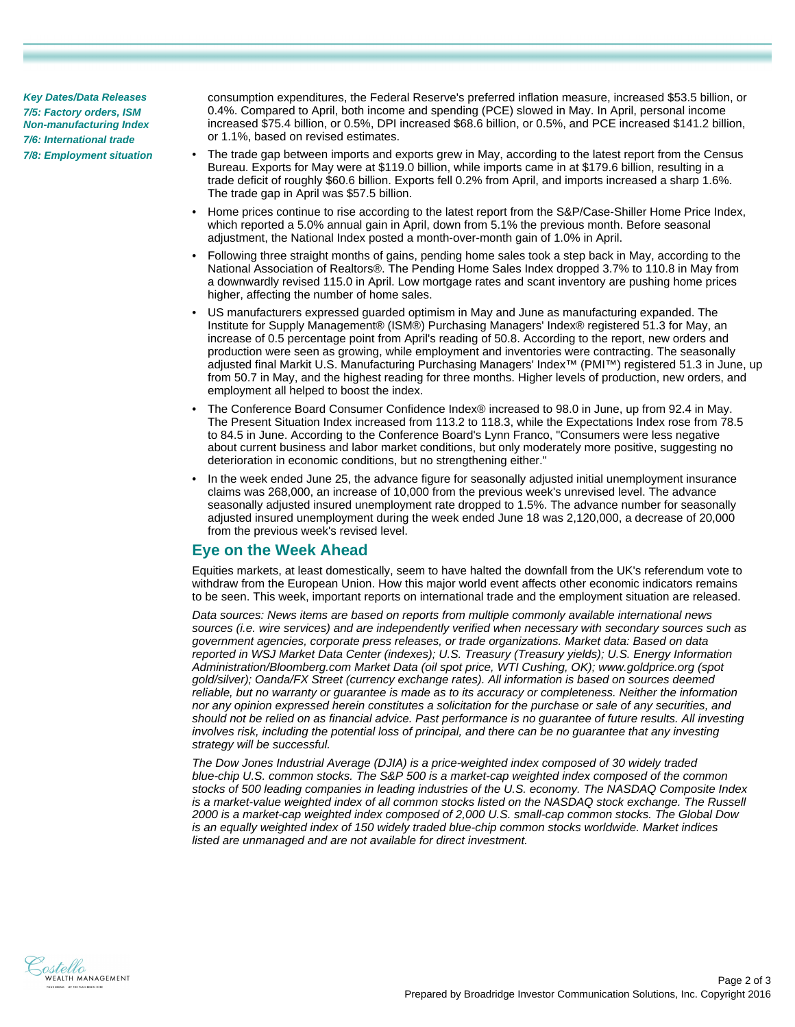**Key Dates/Data Releases 7/5: Factory orders, ISM Non-manufacturing Index 7/6: International trade 7/8: Employment situation** consumption expenditures, the Federal Reserve's preferred inflation measure, increased \$53.5 billion, or 0.4%. Compared to April, both income and spending (PCE) slowed in May. In April, personal income increased \$75.4 billion, or 0.5%, DPI increased \$68.6 billion, or 0.5%, and PCE increased \$141.2 billion, or 1.1%, based on revised estimates.

- The trade gap between imports and exports grew in May, according to the latest report from the Census Bureau. Exports for May were at \$119.0 billion, while imports came in at \$179.6 billion, resulting in a trade deficit of roughly \$60.6 billion. Exports fell 0.2% from April, and imports increased a sharp 1.6%. The trade gap in April was \$57.5 billion.
- Home prices continue to rise according to the latest report from the S&P/Case-Shiller Home Price Index, which reported a 5.0% annual gain in April, down from 5.1% the previous month. Before seasonal adjustment, the National Index posted a month-over-month gain of 1.0% in April.
- Following three straight months of gains, pending home sales took a step back in May, according to the National Association of Realtors®. The Pending Home Sales Index dropped 3.7% to 110.8 in May from a downwardly revised 115.0 in April. Low mortgage rates and scant inventory are pushing home prices higher, affecting the number of home sales.
- US manufacturers expressed guarded optimism in May and June as manufacturing expanded. The Institute for Supply Management® (ISM®) Purchasing Managers' Index® registered 51.3 for May, an increase of 0.5 percentage point from April's reading of 50.8. According to the report, new orders and production were seen as growing, while employment and inventories were contracting. The seasonally adjusted final Markit U.S. Manufacturing Purchasing Managers' Index™ (PMI™) registered 51.3 in June, up from 50.7 in May, and the highest reading for three months. Higher levels of production, new orders, and employment all helped to boost the index.
- The Conference Board Consumer Confidence Index® increased to 98.0 in June, up from 92.4 in May. The Present Situation Index increased from 113.2 to 118.3, while the Expectations Index rose from 78.5 to 84.5 in June. According to the Conference Board's Lynn Franco, "Consumers were less negative about current business and labor market conditions, but only moderately more positive, suggesting no deterioration in economic conditions, but no strengthening either."
- In the week ended June 25, the advance figure for seasonally adjusted initial unemployment insurance claims was 268,000, an increase of 10,000 from the previous week's unrevised level. The advance seasonally adjusted insured unemployment rate dropped to 1.5%. The advance number for seasonally adjusted insured unemployment during the week ended June 18 was 2,120,000, a decrease of 20,000 from the previous week's revised level.

## **Eye on the Week Ahead**

Equities markets, at least domestically, seem to have halted the downfall from the UK's referendum vote to withdraw from the European Union. How this major world event affects other economic indicators remains to be seen. This week, important reports on international trade and the employment situation are released.

Data sources: News items are based on reports from multiple commonly available international news sources (i.e. wire services) and are independently verified when necessary with secondary sources such as government agencies, corporate press releases, or trade organizations. Market data: Based on data reported in WSJ Market Data Center (indexes); U.S. Treasury (Treasury yields); U.S. Energy Information Administration/Bloomberg.com Market Data (oil spot price, WTI Cushing, OK); www.goldprice.org (spot gold/silver); Oanda/FX Street (currency exchange rates). All information is based on sources deemed reliable, but no warranty or guarantee is made as to its accuracy or completeness. Neither the information nor any opinion expressed herein constitutes a solicitation for the purchase or sale of any securities, and should not be relied on as financial advice. Past performance is no guarantee of future results. All investing involves risk, including the potential loss of principal, and there can be no guarantee that any investing strategy will be successful.

The Dow Jones Industrial Average (DJIA) is a price-weighted index composed of 30 widely traded blue-chip U.S. common stocks. The S&P 500 is a market-cap weighted index composed of the common stocks of 500 leading companies in leading industries of the U.S. economy. The NASDAQ Composite Index is a market-value weighted index of all common stocks listed on the NASDAQ stock exchange. The Russell 2000 is a market-cap weighted index composed of 2,000 U.S. small-cap common stocks. The Global Dow is an equally weighted index of 150 widely traded blue-chip common stocks worldwide. Market indices listed are unmanaged and are not available for direct investment.